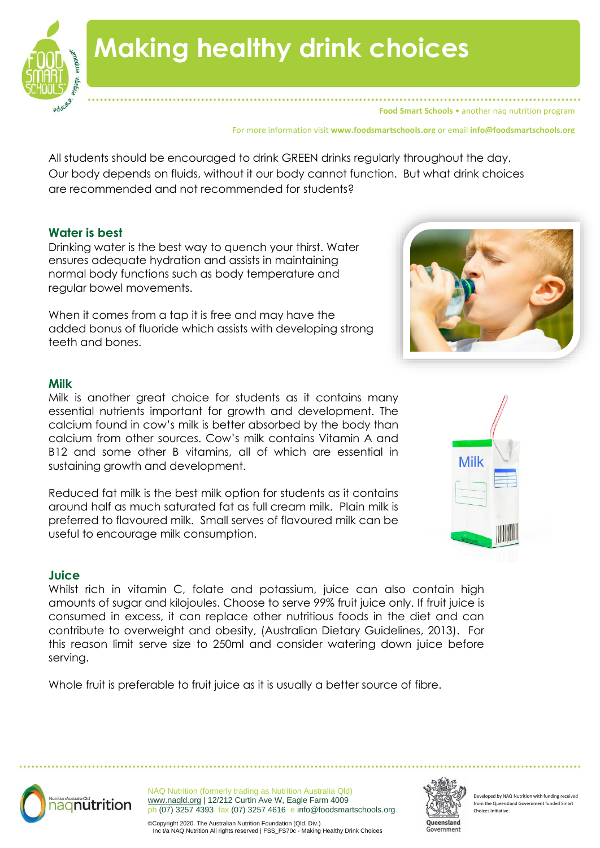

**Food Smart Schools • another nag nutrition program** 

For more information visit **www.foodsmartschools.org** or email **info@foodsmartschools.org**

All students should be encouraged to drink GREEN drinks regularly throughout the day. Our body depends on fluids, without it our body cannot function. But what drink choices are recommended and not recommended for students?

## **Water is best**

Drinking water is the best way to quench your thirst. Water ensures adequate hydration and assists in maintaining normal body functions such as body temperature and regular bowel movements.

When it comes from a tap it is free and may have the added bonus of fluoride which assists with developing strong teeth and bones.

#### **Milk**

Milk is another great choice for students as it contains many essential nutrients important for growth and development. The calcium found in cow's milk is better absorbed by the body than calcium from other sources. Cow's milk contains Vitamin A and B12 and some other B vitamins, all of which are essential in sustaining growth and development.

Reduced fat milk is the best milk option for students as it contains around half as much saturated fat as full cream milk. Plain milk is preferred to flavoured milk. Small serves of flavoured milk can be useful to encourage milk consumption.

#### **Juice**

Whilst rich in vitamin C, folate and potassium, juice can also contain high amounts of sugar and kilojoules. Choose to serve 99% fruit juice only. If fruit juice is consumed in excess, it can replace other nutritious foods in the diet and can contribute to overweight and obesity, (Australian Dietary Guidelines, 2013). For this reason limit serve size to 250ml and consider watering down juice before serving.

Whole fruit is preferable to fruit juice as it is usually a better source of fibre.







NAQ Nutrition (formerly trading as Nutrition Australia Qld) [www.naqld.org](http://www.naqld.org/) | 12/212 Curtin Ave W, Eagle Farm 4009 ph (07) 3257 4393 fax (07) 3257 4616 e info@foodsmartschools.org



veloped by NAQ Nutrition with funding rece from the Queensland Government Choices Initiative.

©Copyright 2020. The Australian Nutrition Foundation (Qld. Div.) Inc t/a NAQ Nutrition All rights reserved | FSS\_FS70c - Making Healthy Drink Choices